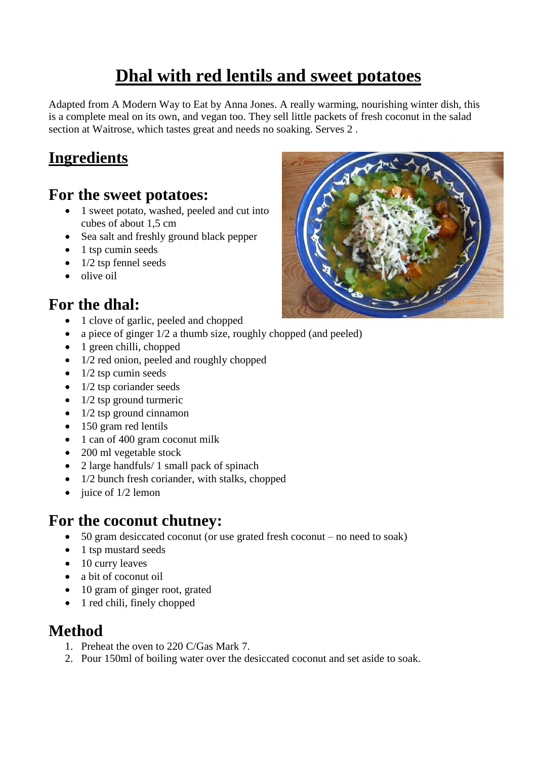# **Dhal with red lentils and sweet potatoes**

Adapted from A Modern Way to Eat by Anna Jones. A really warming, nourishing winter dish, this is a complete meal on its own, and vegan too. They sell little packets of fresh coconut in the salad section at Waitrose, which tastes great and needs no soaking. Serves 2 .

# **Ingredients**

#### **For the sweet potatoes:**

- 1 sweet potato, washed, peeled and cut into cubes of about 1,5 cm
- Sea salt and freshly ground black pepper
- $\bullet$  1 tsp cumin seeds
- $\bullet$  1/2 tsp fennel seeds
- $\bullet$  olive oil

## **For the dhal:**

- 1 clove of garlic, peeled and chopped
- a piece of ginger  $1/2$  a thumb size, roughly chopped (and peeled)
- 1 green chilli, chopped
- 1/2 red onion, peeled and roughly chopped
- $\bullet$  1/2 tsp cumin seeds
- $\bullet$  1/2 tsp coriander seeds
- $\bullet$  1/2 tsp ground turmeric
- $\bullet$  1/2 tsp ground cinnamon
- 150 gram red lentils
- 1 can of 400 gram coconut milk
- 200 ml vegetable stock
- 2 large handfuls/ 1 small pack of spinach
- 1/2 bunch fresh coriander, with stalks, chopped
- $\bullet$  juice of  $1/2$  lemon

### **For the coconut chutney:**

- 50 gram desiccated coconut (or use grated fresh coconut no need to soak)
- 1 tsp mustard seeds
- 10 curry leaves
- a bit of coconut oil
- 10 gram of ginger root, grated
- 1 red chili, finely chopped

#### **Method**

- 1. Preheat the oven to 220 C/Gas Mark 7.
- 2. Pour 150ml of boiling water over the desiccated coconut and set aside to soak.